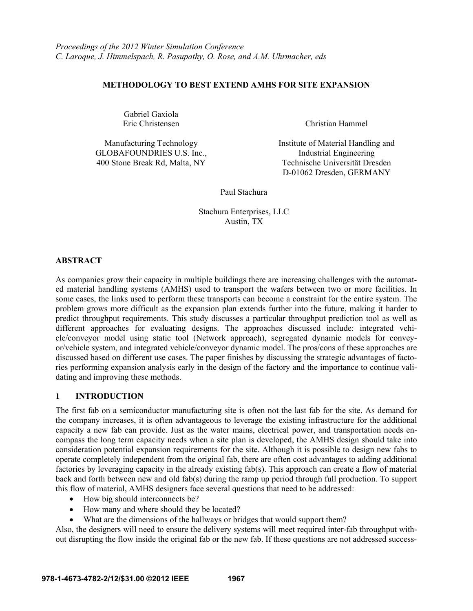# **METHODOLOGY TO BEST EXTEND AMHS FOR SITE EXPANSION**

Gabriel Gaxiola

GLOBAFOUNDRIES U.S. Inc., Industrial Engineering

Eric Christensen Christian Hammel

Manufacturing Technology Institute of Material Handling and 400 Stone Break Rd, Malta, NY Technische Universität Dresden D-01062 Dresden, GERMANY

Paul Stachura

Stachura Enterprises, LLC Austin, TX

### **ABSTRACT**

As companies grow their capacity in multiple buildings there are increasing challenges with the automated material handling systems (AMHS) used to transport the wafers between two or more facilities. In some cases, the links used to perform these transports can become a constraint for the entire system. The problem grows more difficult as the expansion plan extends further into the future, making it harder to predict throughput requirements. This study discusses a particular throughput prediction tool as well as different approaches for evaluating designs. The approaches discussed include: integrated vehicle/conveyor model using static tool (Network approach), segregated dynamic models for conveyor/vehicle system, and integrated vehicle/conveyor dynamic model. The pros/cons of these approaches are discussed based on different use cases. The paper finishes by discussing the strategic advantages of factories performing expansion analysis early in the design of the factory and the importance to continue validating and improving these methods.

## **1 INTRODUCTION**

The first fab on a semiconductor manufacturing site is often not the last fab for the site. As demand for the company increases, it is often advantageous to leverage the existing infrastructure for the additional capacity a new fab can provide. Just as the water mains, electrical power, and transportation needs encompass the long term capacity needs when a site plan is developed, the AMHS design should take into consideration potential expansion requirements for the site. Although it is possible to design new fabs to operate completely independent from the original fab, there are often cost advantages to adding additional factories by leveraging capacity in the already existing fab(s). This approach can create a flow of material back and forth between new and old fab(s) during the ramp up period through full production. To support this flow of material, AMHS designers face several questions that need to be addressed:

- How big should interconnects be?
- How many and where should they be located?
- What are the dimensions of the hallways or bridges that would support them?

Also, the designers will need to ensure the delivery systems will meet required inter-fab throughput without disrupting the flow inside the original fab or the new fab. If these questions are not addressed success-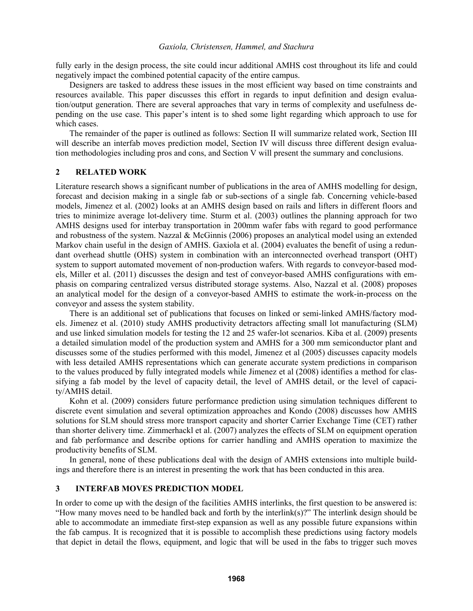fully early in the design process, the site could incur additional AMHS cost throughout its life and could negatively impact the combined potential capacity of the entire campus.

Designers are tasked to address these issues in the most efficient way based on time constraints and resources available. This paper discusses this effort in regards to input definition and design evaluation/output generation. There are several approaches that vary in terms of complexity and usefulness depending on the use case. This paper's intent is to shed some light regarding which approach to use for which cases.

The remainder of the paper is outlined as follows: Section II will summarize related work, Section III will describe an interfab moves prediction model, Section IV will discuss three different design evaluation methodologies including pros and cons, and Section V will present the summary and conclusions.

## **2 RELATED WORK**

Literature research shows a significant number of publications in the area of AMHS modelling for design, forecast and decision making in a single fab or sub-sections of a single fab. Concerning vehicle-based models, Jimenez et al. (2002) looks at an AMHS design based on rails and lifters in different floors and tries to minimize average lot-delivery time. Sturm et al. (2003) outlines the planning approach for two AMHS designs used for interbay transportation in 200mm wafer fabs with regard to good performance and robustness of the system. Nazzal & McGinnis (2006) proposes an analytical model using an extended Markov chain useful in the design of AMHS. Gaxiola et al. (2004) evaluates the benefit of using a redundant overhead shuttle (OHS) system in combination with an interconnected overhead transport (OHT) system to support automated movement of non-production wafers. With regards to conveyor-based models, Miller et al. (2011) discusses the design and test of conveyor-based AMHS configurations with emphasis on comparing centralized versus distributed storage systems. Also, Nazzal et al. (2008) proposes an analytical model for the design of a conveyor-based AMHS to estimate the work-in-process on the conveyor and assess the system stability.

There is an additional set of publications that focuses on linked or semi-linked AMHS/factory models. Jimenez et al. (2010) study AMHS productivity detractors affecting small lot manufacturing (SLM) and use linked simulation models for testing the 12 and 25 wafer-lot scenarios. Kiba et al. (2009) presents a detailed simulation model of the production system and AMHS for a 300 mm semiconductor plant and discusses some of the studies performed with this model, Jimenez et al (2005) discusses capacity models with less detailed AMHS representations which can generate accurate system predictions in comparison to the values produced by fully integrated models while Jimenez et al (2008) identifies a method for classifying a fab model by the level of capacity detail, the level of AMHS detail, or the level of capacity/AMHS detail.

Kohn et al. (2009) considers future performance prediction using simulation techniques different to discrete event simulation and several optimization approaches and Kondo (2008) discusses how AMHS solutions for SLM should stress more transport capacity and shorter Carrier Exchange Time (CET) rather than shorter delivery time. Zimmerhackl et al. (2007) analyzes the effects of SLM on equipment operation and fab performance and describe options for carrier handling and AMHS operation to maximize the productivity benefits of SLM.

In general, none of these publications deal with the design of AMHS extensions into multiple buildings and therefore there is an interest in presenting the work that has been conducted in this area.

## **3 INTERFAB MOVES PREDICTION MODEL**

In order to come up with the design of the facilities AMHS interlinks, the first question to be answered is: "How many moves need to be handled back and forth by the interlink(s)?" The interlink design should be able to accommodate an immediate first-step expansion as well as any possible future expansions within the fab campus. It is recognized that it is possible to accomplish these predictions using factory models that depict in detail the flows, equipment, and logic that will be used in the fabs to trigger such moves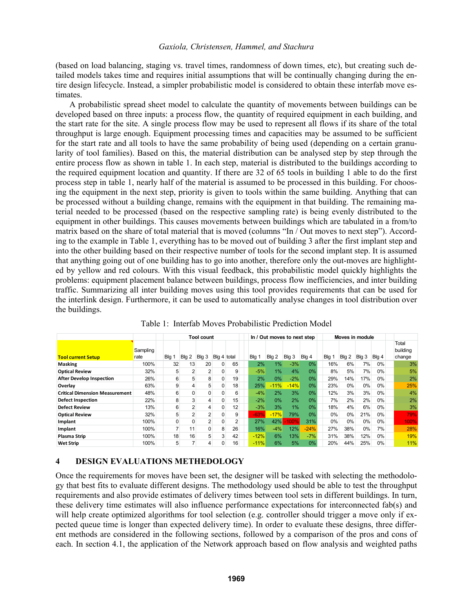(based on load balancing, staging vs. travel times, randomness of down times, etc), but creating such detailed models takes time and requires initial assumptions that will be continually changing during the entire design lifecycle. Instead, a simpler probabilistic model is considered to obtain these interfab move estimates.

A probabilistic spread sheet model to calculate the quantity of movements between buildings can be developed based on three inputs: a process flow, the quantity of required equipment in each building, and the start rate for the site. A single process flow may be used to represent all flows if its share of the total throughput is large enough. Equipment processing times and capacities may be assumed to be sufficient for the start rate and all tools to have the same probability of being used (depending on a certain granularity of tool families). Based on this, the material distribution can be analysed step by step through the entire process flow as shown in table 1. In each step, material is distributed to the buildings according to the required equipment location and quantity. If there are 32 of 65 tools in building 1 able to do the first process step in table 1, nearly half of the material is assumed to be processed in this building. For choosing the equipment in the next step, priority is given to tools within the same building. Anything that can be processed without a building change, remains with the equipment in that building. The remaining material needed to be processed (based on the respective sampling rate) is being evenly distributed to the equipment in other buildings. This causes movements between buildings which are tabulated in a from/to matrix based on the share of total material that is moved (columns "In / Out moves to next step"). According to the example in Table 1, everything has to be moved out of building 3 after the first implant step and into the other building based on their respective number of tools for the second implant step. It is assumed that anything going out of one building has to go into another, therefore only the out-moves are highlighted by yellow and red colours. With this visual feedback, this probabilistic model quickly highlights the problems: equipment placement balance between buildings, process flow inefficiencies, and inter building traffic. Summarizing all inter building moves using this tool provides requirements that can be used for the interlink design. Furthermore, it can be used to automatically analyse changes in tool distribution over the buildings.

|                                       |          | <b>Tool count</b> |       |                |       | In / Out moves to next step |        |        |        | Moves in module |       |       |       |       |                   |
|---------------------------------------|----------|-------------------|-------|----------------|-------|-----------------------------|--------|--------|--------|-----------------|-------|-------|-------|-------|-------------------|
|                                       | Sampling |                   |       |                |       |                             |        |        |        |                 |       |       |       |       | Total<br>building |
| <b>Tool current Setup</b>             | rate     | Blg 1             | Blg 2 | Blg 3          | Blg 4 | total                       | Blg 1  | Blg 2  | Blg 3  | Blg 4           | Blg 1 | Blg 2 | Blg 3 | Blg 4 | change            |
| <b>Masking</b>                        | 100%     | 32                | 13    | 20             | 0     | 65                          | 2%     | 1%     | $-3%$  | 0%              | 16%   | 6%    | 7%    | $0\%$ | 3%                |
| <b>Optical Review</b>                 | 32%      | 5                 |       | $\overline{2}$ | 0     | 9                           | $-5%$  | 1%     | $4\%$  | 0%              | 8%    | 5%    | 7%    | $0\%$ | 5%                |
| <b>After Develop Inspection</b>       | 26%      | 6                 | 5     | 8              | 0     | 19                          | 2%     | $0\%$  | $-2%$  | 0%              | 29%   | 14%   | 17%   | $0\%$ | 2%                |
| Overlav                               | 63%      | 9                 | 4     | 5              | 0     | 18                          | 25%    | $-11%$ | $-14%$ | 0%              | 23%   | $0\%$ | $0\%$ | $0\%$ | 25%               |
| <b>Critical Dimension Measurement</b> | 48%      | 6                 |       | 0              | 0     | 6                           | $-4%$  | 2%     | 3%     | 0%              | 12%   | 3%    | 3%    | 0%    | 4%                |
| <b>Defect Inspection</b>              | 22%      | 8                 |       | 4              | 0     | 15                          | $-2%$  | 0%     | 2%     | 0%              | 7%    | 2%    | 2%    | $0\%$ | 2%                |
| <b>Defect Review</b>                  | 13%      | 6                 |       |                | 0     | 12                          | $-3%$  | 3%     | 1%     | 0%              | 18%   | 4%    | 6%    | 0%    | 3%                |
| <b>Optical Review</b>                 | 32%      | 5                 |       | 2              | 0     | 9                           | $-63%$ | $-17%$ | 79%    | 0%              | 0%    | $0\%$ | 21%   | $0\%$ | 79%               |
| Implant                               | 100%     | 0                 |       | 2 <sup>1</sup> | 0     | $\overline{2}$              | 27%    | 42%    | 100%   | 31%             | 0%    | $0\%$ | $0\%$ | $0\%$ | 100%              |
| Implant                               | 100%     |                   | 11    | 0              | 8     | 26                          | 16%    | $-4%$  | 12%    | $-24%$          | 27%   | 38%   | $0\%$ | 7%    | 28%               |
| Plasma Strip                          | 100%     | 18                | 16    | 5              | 3     | 42                          | $-12%$ | 6%     | 13%    | $-7%$           | 31%   | 38%   | 12%   | $0\%$ | 19%               |
| <b>Wet Strip</b>                      | 100%     | 5                 |       | 4              | 0     | 16                          | $-11%$ | 6%     | 5%     | 0%              | 20%   | 44%   | 25%   | 0%    | 11%               |

Table 1: Interfab Moves Probabilistic Prediction Model

## **4 DESIGN EVALUATIONS METHEDOLOGY**

Once the requirements for moves have been set, the designer will be tasked with selecting the methodology that best fits to evaluate different designs. The methodology used should be able to test the throughput requirements and also provide estimates of delivery times between tool sets in different buildings. In turn, these delivery time estimates will also influence performance expectations for interconnected fab(s) and will help create optimized algorithms for tool selection (e.g. controller should trigger a move only if expected queue time is longer than expected delivery time). In order to evaluate these designs, three different methods are considered in the following sections, followed by a comparison of the pros and cons of each. In section 4.1, the application of the Network approach based on flow analysis and weighted paths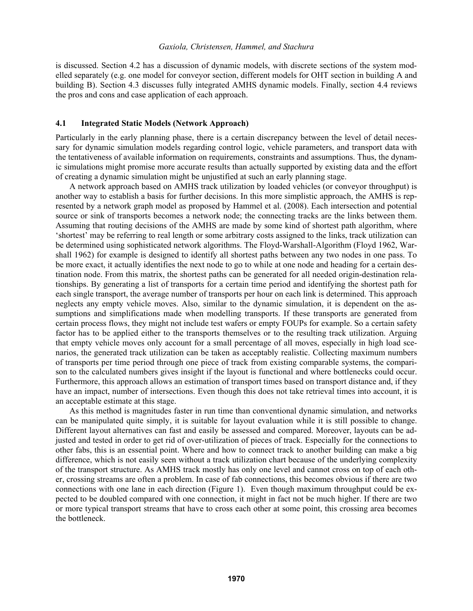is discussed. Section 4.2 has a discussion of dynamic models, with discrete sections of the system modelled separately (e.g. one model for conveyor section, different models for OHT section in building A and building B). Section 4.3 discusses fully integrated AMHS dynamic models. Finally, section 4.4 reviews the pros and cons and case application of each approach.

## **4.1 Integrated Static Models (Network Approach)**

Particularly in the early planning phase, there is a certain discrepancy between the level of detail necessary for dynamic simulation models regarding control logic, vehicle parameters, and transport data with the tentativeness of available information on requirements, constraints and assumptions. Thus, the dynamic simulations might promise more accurate results than actually supported by existing data and the effort of creating a dynamic simulation might be unjustified at such an early planning stage.

A network approach based on AMHS track utilization by loaded vehicles (or conveyor throughput) is another way to establish a basis for further decisions. In this more simplistic approach, the AMHS is represented by a network graph model as proposed by Hammel et al. (2008). Each intersection and potential source or sink of transports becomes a network node; the connecting tracks are the links between them. Assuming that routing decisions of the AMHS are made by some kind of shortest path algorithm, where 'shortest' may be referring to real length or some arbitrary costs assigned to the links, track utilization can be determined using sophisticated network algorithms. The Floyd-Warshall-Algorithm (Floyd 1962, Warshall 1962) for example is designed to identify all shortest paths between any two nodes in one pass. To be more exact, it actually identifies the next node to go to while at one node and heading for a certain destination node. From this matrix, the shortest paths can be generated for all needed origin-destination relationships. By generating a list of transports for a certain time period and identifying the shortest path for each single transport, the average number of transports per hour on each link is determined. This approach neglects any empty vehicle moves. Also, similar to the dynamic simulation, it is dependent on the assumptions and simplifications made when modelling transports. If these transports are generated from certain process flows, they might not include test wafers or empty FOUPs for example. So a certain safety factor has to be applied either to the transports themselves or to the resulting track utilization. Arguing that empty vehicle moves only account for a small percentage of all moves, especially in high load scenarios, the generated track utilization can be taken as acceptably realistic. Collecting maximum numbers of transports per time period through one piece of track from existing comparable systems, the comparison to the calculated numbers gives insight if the layout is functional and where bottlenecks could occur. Furthermore, this approach allows an estimation of transport times based on transport distance and, if they have an impact, number of intersections. Even though this does not take retrieval times into account, it is an acceptable estimate at this stage.

As this method is magnitudes faster in run time than conventional dynamic simulation, and networks can be manipulated quite simply, it is suitable for layout evaluation while it is still possible to change. Different layout alternatives can fast and easily be assessed and compared. Moreover, layouts can be adjusted and tested in order to get rid of over-utilization of pieces of track. Especially for the connections to other fabs, this is an essential point. Where and how to connect track to another building can make a big difference, which is not easily seen without a track utilization chart because of the underlying complexity of the transport structure. As AMHS track mostly has only one level and cannot cross on top of each other, crossing streams are often a problem. In case of fab connections, this becomes obvious if there are two connections with one lane in each direction (Figure 1). Even though maximum throughput could be expected to be doubled compared with one connection, it might in fact not be much higher. If there are two or more typical transport streams that have to cross each other at some point, this crossing area becomes the bottleneck.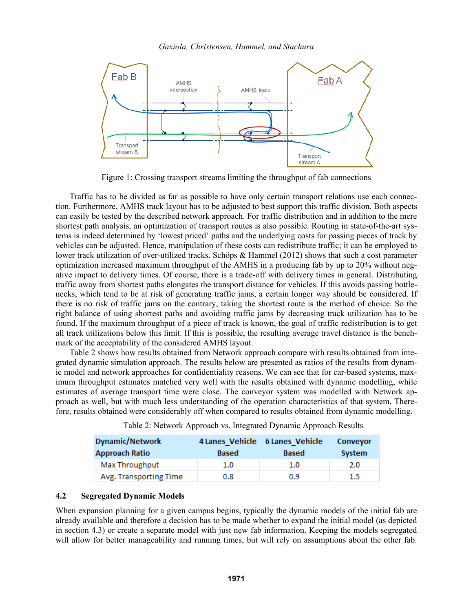

Figure 1: Crossing transport streams limiting the throughput of fab connections

Traffic has to be divided as far as possible to have only certain transport relations use each connection. Furthermore, AMHS track layout has to be adjusted to best support this traffic division. Both aspects can easily be tested by the described network approach. For traffic distribution and in addition to the mere shortest path analysis, an optimization of transport routes is also possible. Routing in state-of-the-art systems is indeed determined by 'lowest priced' paths and the underlying costs for passing pieces of track by vehicles can be adjusted. Hence, manipulation of these costs can redistribute traffic; it can be employed to lower track utilization of over-utilized tracks. Schöps & Hammel (2012) shows that such a cost parameter optimization increased maximum throughput of the AMHS in a producing fab by up to 20% without negative impact to delivery times. Of course, there is a trade-off with delivery times in general. Distributing traffic away from shortest paths elongates the transport distance for vehicles. If this avoids passing bottlenecks, which tend to be at risk of generating traffic jams, a certain longer way should be considered. If there is no risk of traffic jams on the contrary, taking the shortest route is the method of choice. So the right balance of using shortest paths and avoiding traffic jams by decreasing track utilization has to be found. If the maximum throughput of a piece of track is known, the goal of traffic redistribution is to get all track utilizations below this limit. If this is possible, the resulting average travel distance is the benchmark of the acceptability of the considered AMHS layout.

Table 2 shows how results obtained from Network approach compare with results obtained from integrated dynamic simulation approach. The results below are presented as ratios of the results from dynamic model and network approaches for confidentiality reasons. We can see that for car-based systems, maximum throughput estimates matched very well with the results obtained with dynamic modelling, while estimates of average transport time were close. The conveyor system was modelled with Network approach as well, but with much less understanding of the operation characteristics of that system. Therefore, results obtained were considerably off when compared to results obtained from dynamic modelling.

| Dynamic/Network<br><b>Approach Ratio</b> | Based | 4 Lanes Vehicle 6 Lanes Vehicle<br>Based | Conveyor<br>System |  |  |
|------------------------------------------|-------|------------------------------------------|--------------------|--|--|
| Max Throughput                           | 1.0   | 1.0                                      | 2.0                |  |  |
| Avg. Transporting Time                   | 0.8   | 0.9                                      | 1.5                |  |  |

Table 2: Network Approach vs. Integrated Dynamic Approach Results

## **4.2 Segregated Dynamic Models**

When expansion planning for a given campus begins, typically the dynamic models of the initial fab are already available and therefore a decision has to be made whether to expand the initial model (as depicted in section 4.3) or create a separate model with just new fab information. Keeping the models segregated will allow for better manageability and running times, but will rely on assumptions about the other fab.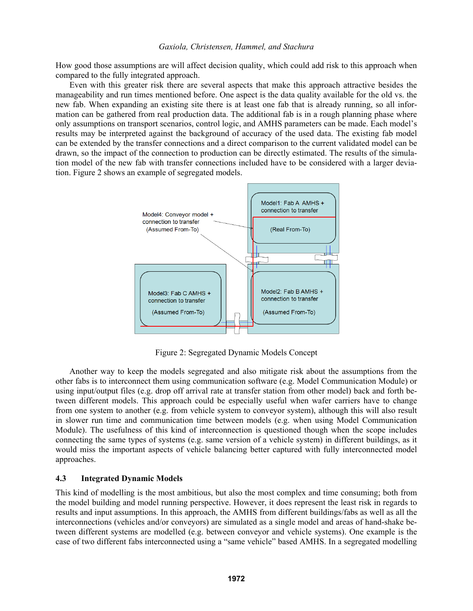How good those assumptions are will affect decision quality, which could add risk to this approach when compared to the fully integrated approach.

Even with this greater risk there are several aspects that make this approach attractive besides the manageability and run times mentioned before. One aspect is the data quality available for the old vs. the new fab. When expanding an existing site there is at least one fab that is already running, so all information can be gathered from real production data. The additional fab is in a rough planning phase where only assumptions on transport scenarios, control logic, and AMHS parameters can be made. Each model's results may be interpreted against the background of accuracy of the used data. The existing fab model can be extended by the transfer connections and a direct comparison to the current validated model can be drawn, so the impact of the connection to production can be directly estimated. The results of the simulation model of the new fab with transfer connections included have to be considered with a larger deviation. Figure 2 shows an example of segregated models.



Figure 2: Segregated Dynamic Models Concept

Another way to keep the models segregated and also mitigate risk about the assumptions from the other fabs is to interconnect them using communication software (e.g. Model Communication Module) or using input/output files (e.g. drop off arrival rate at transfer station from other model) back and forth between different models. This approach could be especially useful when wafer carriers have to change from one system to another (e.g. from vehicle system to conveyor system), although this will also result in slower run time and communication time between models (e.g. when using Model Communication Module). The usefulness of this kind of interconnection is questioned though when the scope includes connecting the same types of systems (e.g. same version of a vehicle system) in different buildings, as it would miss the important aspects of vehicle balancing better captured with fully interconnected model approaches.

#### **4.3 Integrated Dynamic Models**

This kind of modelling is the most ambitious, but also the most complex and time consuming; both from the model building and model running perspective. However, it does represent the least risk in regards to results and input assumptions. In this approach, the AMHS from different buildings/fabs as well as all the interconnections (vehicles and/or conveyors) are simulated as a single model and areas of hand-shake between different systems are modelled (e.g. between conveyor and vehicle systems). One example is the case of two different fabs interconnected using a "same vehicle" based AMHS. In a segregated modelling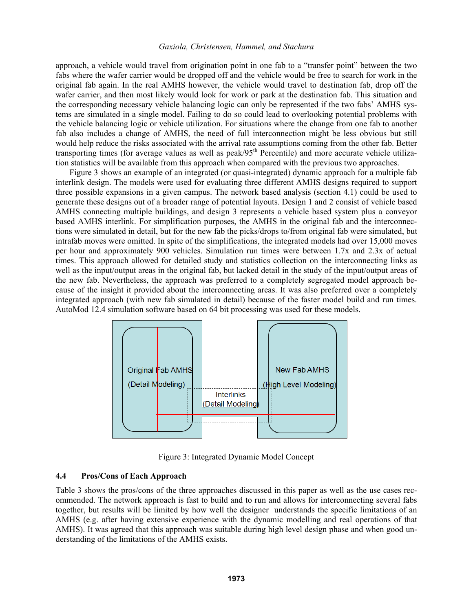approach, a vehicle would travel from origination point in one fab to a "transfer point" between the two fabs where the wafer carrier would be dropped off and the vehicle would be free to search for work in the original fab again. In the real AMHS however, the vehicle would travel to destination fab, drop off the wafer carrier, and then most likely would look for work or park at the destination fab. This situation and the corresponding necessary vehicle balancing logic can only be represented if the two fabs' AMHS systems are simulated in a single model. Failing to do so could lead to overlooking potential problems with the vehicle balancing logic or vehicle utilization. For situations where the change from one fab to another fab also includes a change of AMHS, the need of full interconnection might be less obvious but still would help reduce the risks associated with the arrival rate assumptions coming from the other fab. Better transporting times (for average values as well as peak/95<sup>th</sup> Percentile) and more accurate vehicle utilization statistics will be available from this approach when compared with the previous two approaches.

Figure 3 shows an example of an integrated (or quasi-integrated) dynamic approach for a multiple fab interlink design. The models were used for evaluating three different AMHS designs required to support three possible expansions in a given campus. The network based analysis (section 4.1) could be used to generate these designs out of a broader range of potential layouts. Design 1 and 2 consist of vehicle based AMHS connecting multiple buildings, and design 3 represents a vehicle based system plus a conveyor based AMHS interlink. For simplification purposes, the AMHS in the original fab and the interconnections were simulated in detail, but for the new fab the picks/drops to/from original fab were simulated, but intrafab moves were omitted. In spite of the simplifications, the integrated models had over 15,000 moves per hour and approximately 900 vehicles. Simulation run times were between 1.7x and 2.3x of actual times. This approach allowed for detailed study and statistics collection on the interconnecting links as well as the input/output areas in the original fab, but lacked detail in the study of the input/output areas of the new fab. Nevertheless, the approach was preferred to a completely segregated model approach because of the insight it provided about the interconnecting areas. It was also preferred over a completely integrated approach (with new fab simulated in detail) because of the faster model build and run times. AutoMod 12.4 simulation software based on 64 bit processing was used for these models.



Figure 3: Integrated Dynamic Model Concept

## **4.4 Pros/Cons of Each Approach**

Table 3 shows the pros/cons of the three approaches discussed in this paper as well as the use cases recommended. The network approach is fast to build and to run and allows for interconnecting several fabs together, but results will be limited by how well the designer understands the specific limitations of an AMHS (e.g. after having extensive experience with the dynamic modelling and real operations of that AMHS). It was agreed that this approach was suitable during high level design phase and when good understanding of the limitations of the AMHS exists.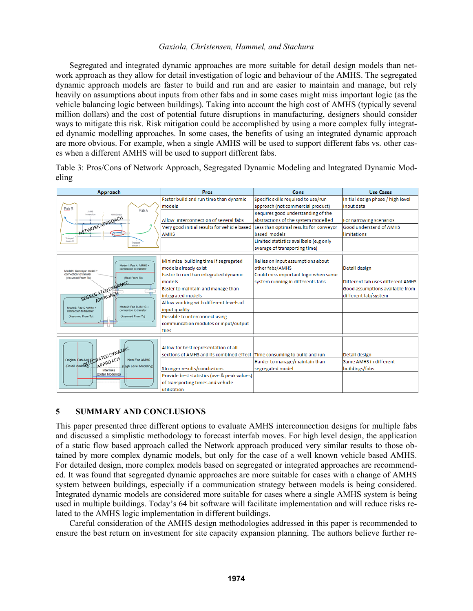Segregated and integrated dynamic approaches are more suitable for detail design models than network approach as they allow for detail investigation of logic and behaviour of the AMHS. The segregated dynamic approach models are faster to build and run and are easier to maintain and manage, but rely heavily on assumptions about inputs from other fabs and in some cases might miss important logic (as the vehicle balancing logic between buildings). Taking into account the high cost of AMHS (typically several million dollars) and the cost of potential future disruptions in manufacturing, designers should consider ways to mitigate this risk. Risk mitigation could be accomplished by using a more complex fully integrated dynamic modelling approaches. In some cases, the benefits of using an integrated dynamic approach are more obvious. For example, when a single AMHS will be used to support different fabs vs. other cases when a different AMHS will be used to support different fabs.

Table 3: Pros/Cons of Network Approach, Segregated Dynamic Modeling and Integrated Dynamic Modeling

| Approach                                                                                         | Pros                                                                       | Cons                                   | <b>Use Cases</b>                  |  |  |
|--------------------------------------------------------------------------------------------------|----------------------------------------------------------------------------|----------------------------------------|-----------------------------------|--|--|
|                                                                                                  | Faster build and run time than dynamic                                     | Specific skills required to use/run    | Initial design phase / high level |  |  |
| Fab B                                                                                            | models                                                                     | approach (not commercial product)      | input data                        |  |  |
| Fab A<br><b>AMHS</b><br>intersection<br><b>AMAR Mark</b>                                         |                                                                            | Requires good understanding of the     |                                   |  |  |
|                                                                                                  | Allow interconnection of several fabs                                      | abstractions of the system modelled    | For narrowing scenarios           |  |  |
|                                                                                                  | Very good initial results for vehicle based                                | Less than optimal results for conveyor | Good understand of AMHS           |  |  |
| NETWORK APPROACH                                                                                 | <b>AMHS</b>                                                                | based models                           | limitations                       |  |  |
| Transport<br>stream B<br>Transport                                                               |                                                                            | Limited statistics availbale (e.g only |                                   |  |  |
| stream A                                                                                         |                                                                            | average of transporting time)          |                                   |  |  |
|                                                                                                  |                                                                            |                                        |                                   |  |  |
|                                                                                                  | Minimize building time if segregated                                       | Relies on input assumptions about      |                                   |  |  |
| Model1: Fab A AMHS +<br>connection to transfer<br>Model4: Conveyor model +                       | models already exist                                                       | other fabs/AMHS                        | Detail design                     |  |  |
| connection to transfe<br>(Real From-To)<br>(Assumed From-To)                                     | Faster to run than integrated dynamic                                      | Could miss important logic when same   |                                   |  |  |
| SEGREGATED DYNAMIC                                                                               | models                                                                     | system running in differents fabs      | Different fab uses different AMHS |  |  |
|                                                                                                  | Easier to maintain and manage than                                         |                                        | Good assumptions available from   |  |  |
|                                                                                                  | integrated models                                                          |                                        | different fab/system              |  |  |
|                                                                                                  | Allow working with different levels of                                     |                                        |                                   |  |  |
| Model2: Fab B AMHS +<br>Model3: Fab C AMHS +<br>connection to transfer<br>connection to transfer | input quality                                                              |                                        |                                   |  |  |
| (Assumed From-To)<br>(Assumed From-To)                                                           | Possible to interconnect using                                             |                                        |                                   |  |  |
|                                                                                                  | communcation modules or input/output                                       |                                        |                                   |  |  |
|                                                                                                  | files                                                                      |                                        |                                   |  |  |
|                                                                                                  |                                                                            |                                        |                                   |  |  |
|                                                                                                  | Allow for best representation of all                                       |                                        |                                   |  |  |
|                                                                                                  | sections of AMHS and its combined effect   Time consuming to build and run |                                        | Detail design                     |  |  |
| Original Fab AMHEGRATED DYNAMIC<br>New Fab AMHS                                                  |                                                                            | Harder to manage/maintain than         | Same AMHS in different            |  |  |
| (High Level Modeling)                                                                            | Stronger results/conclusions                                               | segregated model                       | buildings/fabs                    |  |  |
| Interlinks<br>(Detail Modeling)                                                                  | Provide best statistics (ave & peak values)                                |                                        |                                   |  |  |
|                                                                                                  | of transporting times and vehicle                                          |                                        |                                   |  |  |
|                                                                                                  | utilization                                                                |                                        |                                   |  |  |
|                                                                                                  |                                                                            |                                        |                                   |  |  |

## **5 SUMMARY AND CONCLUSIONS**

This paper presented three different options to evaluate AMHS interconnection designs for multiple fabs and discussed a simplistic methodology to forecast interfab moves. For high level design, the application of a static flow based approach called the Network approach produced very similar results to those obtained by more complex dynamic models, but only for the case of a well known vehicle based AMHS. For detailed design, more complex models based on segregated or integrated approaches are recommended. It was found that segregated dynamic approaches are more suitable for cases with a change of AMHS system between buildings, especially if a communication strategy between models is being considered. Integrated dynamic models are considered more suitable for cases where a single AMHS system is being used in multiple buildings. Today's 64 bit software will facilitate implementation and will reduce risks related to the AMHS logic implementation in different buildings.

Careful consideration of the AMHS design methodologies addressed in this paper is recommended to ensure the best return on investment for site capacity expansion planning. The authors believe further re-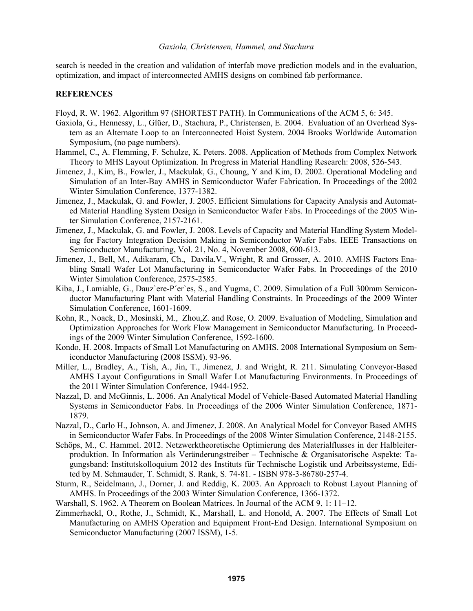search is needed in the creation and validation of interfab move prediction models and in the evaluation, optimization, and impact of interconnected AMHS designs on combined fab performance.

### **REFERENCES**

Floyd, R. W. 1962. Algorithm 97 (SHORTEST PATH). In Communications of the ACM 5, 6: 345.

- Gaxiola, G., Hennessy, L., Glüer, D., Stachura, P., Christensen, E. 2004. Evaluation of an Overhead System as an Alternate Loop to an Interconnected Hoist System. 2004 Brooks Worldwide Automation Symposium, (no page numbers).
- Hammel, C., A. Flemming, F. Schulze, K. Peters. 2008. Application of Methods from Complex Network Theory to MHS Layout Optimization. In Progress in Material Handling Research: 2008, 526-543.
- Jimenez, J., Kim, B., Fowler, J., Mackulak, G., Choung, Y and Kim, D. 2002. Operational Modeling and Simulation of an Inter-Bay AMHS in Semiconductor Wafer Fabrication. In Proceedings of the 2002 Winter Simulation Conference, 1377-1382.
- Jimenez, J., Mackulak, G. and Fowler, J. 2005. Efficient Simulations for Capacity Analysis and Automated Material Handling System Design in Semiconductor Wafer Fabs. In Proceedings of the 2005 Winter Simulation Conference, 2157-2161.
- Jimenez, J., Mackulak, G. and Fowler, J. 2008. Levels of Capacity and Material Handling System Modeling for Factory Integration Decision Making in Semiconductor Wafer Fabs. IEEE Transactions on Semiconductor Manufacturing, Vol. 21, No. 4, November 2008, 600-613.
- Jimenez, J., Bell, M., Adikaram, Ch., Davila,V., Wright, R and Grosser, A. 2010. AMHS Factors Enabling Small Wafer Lot Manufacturing in Semiconductor Wafer Fabs. In Proceedings of the 2010 Winter Simulation Conference, 2575-2585.
- Kiba, J., Lamiable, G., Dauz`ere-P´er`es, S., and Yugma, C. 2009. Simulation of a Full 300mm Semiconductor Manufacturing Plant with Material Handling Constraints. In Proceedings of the 2009 Winter Simulation Conference, 1601-1609.
- Kohn, R., Noack, D., Mosinski, M., Zhou,Z. and Rose, O. 2009. Evaluation of Modeling, Simulation and Optimization Approaches for Work Flow Management in Semiconductor Manufacturing. In Proceedings of the 2009 Winter Simulation Conference, 1592-1600.
- Kondo, H. 2008. Impacts of Small Lot Manufacturing on AMHS. 2008 International Symposium on Semiconductor Manufacturing (2008 ISSM). 93-96.
- Miller, L., Bradley, A., Tish, A., Jin, T., Jimenez, J. and Wright, R. 211. Simulating Conveyor-Based AMHS Layout Configurations in Small Wafer Lot Manufacturing Environments. In Proceedings of the 2011 Winter Simulation Conference, 1944-1952.
- Nazzal, D. and McGinnis, L. 2006. An Analytical Model of Vehicle-Based Automated Material Handling Systems in Semiconductor Fabs. In Proceedings of the 2006 Winter Simulation Conference, 1871- 1879.
- Nazzal, D., Carlo H., Johnson, A. and Jimenez, J. 2008. An Analytical Model for Conveyor Based AMHS in Semiconductor Wafer Fabs. In Proceedings of the 2008 Winter Simulation Conference, 2148-2155.
- Schöps, M., C. Hammel. 2012. Netzwerktheoretische Optimierung des Materialflusses in der Halbleiterproduktion. In Information als Veränderungstreiber – Technische & Organisatorische Aspekte: Tagungsband: Institutskolloquium 2012 des Instituts für Technische Logistik und Arbeitssysteme, Edited by M. Schmauder, T. Schmidt, S. Rank, S. 74-81. - ISBN 978-3-86780-257-4.
- Sturm, R., Seidelmann, J., Dorner, J. and Reddig, K. 2003. An Approach to Robust Layout Planning of AMHS. In Proceedings of the 2003 Winter Simulation Conference, 1366-1372.
- Warshall, S. 1962. A Theorem on Boolean Matrices. In Journal of the ACM 9, 1: 11–12.
- Zimmerhackl, O., Rothe, J., Schmidt, K., Marshall, L. and Honold, A. 2007. The Effects of Small Lot Manufacturing on AMHS Operation and Equipment Front-End Design. International Symposium on Semiconductor Manufacturing (2007 ISSM), 1-5.